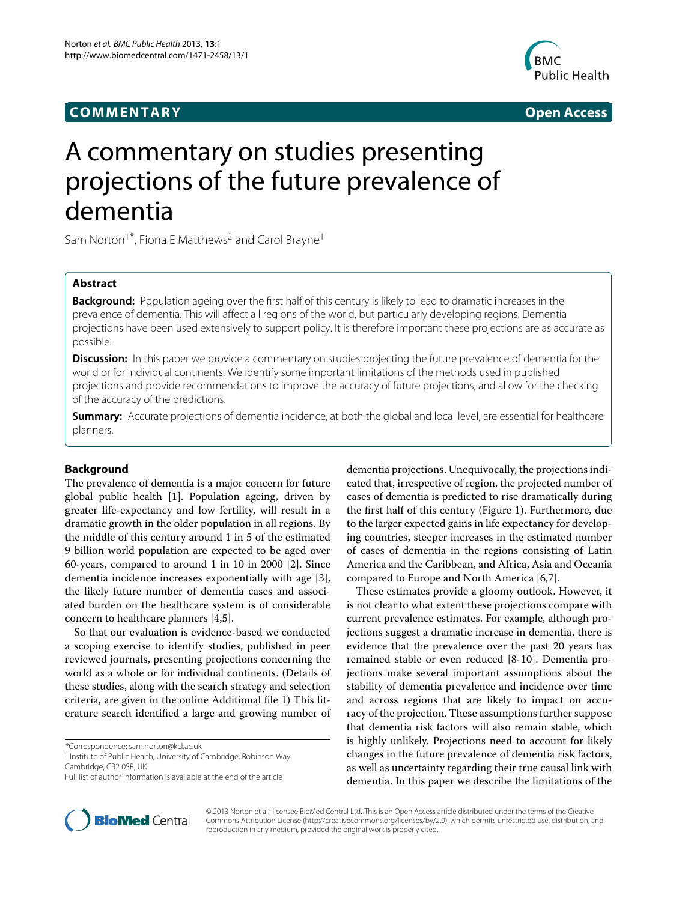# **COMMENTARY Open Access**



# A commentary on studies presenting projections of the future prevalence of dementia

Sam Norton<sup>1\*</sup>, Fiona E Matthews<sup>2</sup> and Carol Brayne<sup>1</sup>

# **Abstract**

**Background:** Population ageing over the first half of this century is likely to lead to dramatic increases in the prevalence of dementia. This will affect all regions of the world, but particularly developing regions. Dementia projections have been used extensively to support policy. It is therefore important these projections are as accurate as possible.

**Discussion:** In this paper we provide a commentary on studies projecting the future prevalence of dementia for the world or for individual continents. We identify some important limitations of the methods used in published projections and provide recommendations to improve the accuracy of future projections, and allow for the checking of the accuracy of the predictions.

**Summary:** Accurate projections of dementia incidence, at both the global and local level, are essential for healthcare planners.

# **Background**

The prevalence of dementia is a major concern for future global public health [\[1\]](#page-4-0). Population ageing, driven by greater life-expectancy and low fertility, will result in a dramatic growth in the older population in all regions. By the middle of this century around 1 in 5 of the estimated 9 billion world population are expected to be aged over 60-years, compared to around 1 in 10 in 2000 [\[2\]](#page-4-1). Since dementia incidence increases exponentially with age [\[3\]](#page-4-2), the likely future number of dementia cases and associated burden on the healthcare system is of considerable concern to healthcare planners [\[4](#page-4-3)[,5\]](#page-4-4).

So that our evaluation is evidence-based we conducted a scoping exercise to identify studies, published in peer reviewed journals, presenting projections concerning the world as a whole or for individual continents. (Details of these studies, along with the search strategy and selection criteria, are given in the online Additional file [1\)](#page-3-0) This literature search identified a large and growing number of

\*Correspondence: sam.norton@kcl.ac.uk

dementia projections. Unequivocally, the projections indicated that, irrespective of region, the projected number of cases of dementia is predicted to rise dramatically during the first half of this century (Figure [1\)](#page-1-0). Furthermore, due to the larger expected gains in life expectancy for developing countries, steeper increases in the estimated number of cases of dementia in the regions consisting of Latin America and the Caribbean, and Africa, Asia and Oceania compared to Europe and North America [\[6,](#page-4-5)[7\]](#page-4-6).

These estimates provide a gloomy outlook. However, it is not clear to what extent these projections compare with current prevalence estimates. For example, although projections suggest a dramatic increase in dementia, there is evidence that the prevalence over the past 20 years has remained stable or even reduced [\[8](#page-4-7)[-10\]](#page-4-8). Dementia projections make several important assumptions about the stability of dementia prevalence and incidence over time and across regions that are likely to impact on accuracy of the projection. These assumptions further suppose that dementia risk factors will also remain stable, which is highly unlikely. Projections need to account for likely changes in the future prevalence of dementia risk factors, as well as uncertainty regarding their true causal link with dementia. In this paper we describe the limitations of the



© 2013 Norton et al.; licensee BioMed Central Ltd. This is an Open Access article distributed under the terms of the Creative Commons Attribution License (http://creativecommons.org/licenses/by/2.0), which permits unrestricted use, distribution, and reproduction in any medium, provided the original work is properly cited.

<sup>&</sup>lt;sup>1</sup> Institute of Public Health, University of Cambridge, Robinson Way, Cambridge, CB2 0SR, UK

Full list of author information is available at the end of the article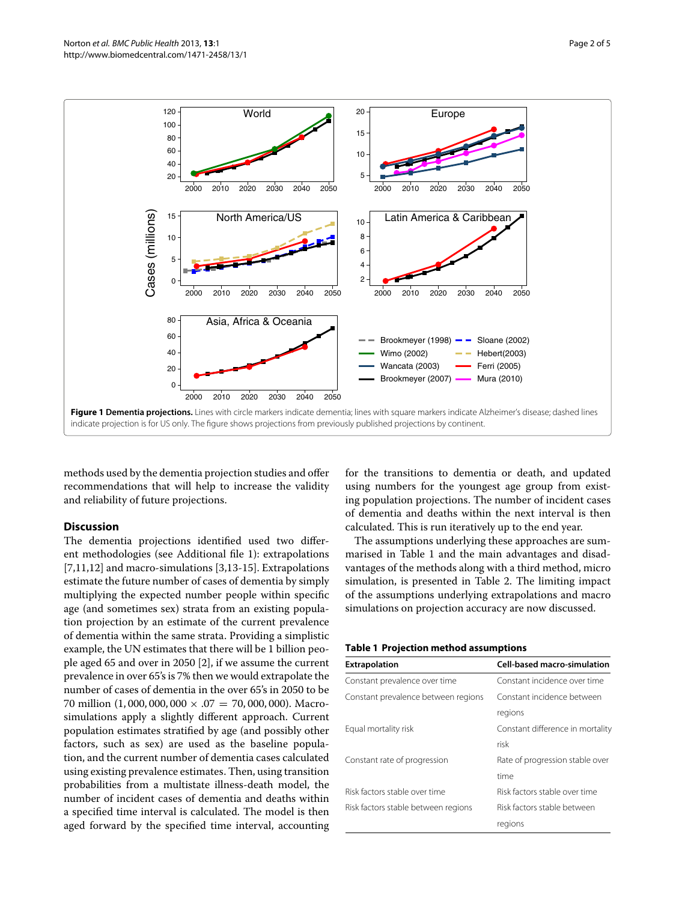

<span id="page-1-0"></span>methods used by the dementia projection studies and offer recommendations that will help to increase the validity and reliability of future projections.

# **Discussion**

The dementia projections identified used two different methodologies (see Additional file [1\)](#page-3-0): extrapolations [\[7](#page-4-6)[,11](#page-4-9)[,12\]](#page-4-10) and macro-simulations [\[3,](#page-4-2)[13](#page-4-11)[-15\]](#page-4-12). Extrapolations estimate the future number of cases of dementia by simply multiplying the expected number people within specific age (and sometimes sex) strata from an existing population projection by an estimate of the current prevalence of dementia within the same strata. Providing a simplistic example, the UN estimates that there will be 1 billion people aged 65 and over in 2050 [\[2\]](#page-4-1), if we assume the current prevalence in over 65's is 7% then we would extrapolate the number of cases of dementia in the over 65's in 2050 to be 70 million  $(1,000,000,000 \times 0.07 = 70,000,000)$ . Macrosimulations apply a slightly different approach. Current population estimates stratified by age (and possibly other factors, such as sex) are used as the baseline population, and the current number of dementia cases calculated using existing prevalence estimates. Then, using transition probabilities from a multistate illness-death model, the number of incident cases of dementia and deaths within a specified time interval is calculated. The model is then aged forward by the specified time interval, accounting for the transitions to dementia or death, and updated using numbers for the youngest age group from existing population projections. The number of incident cases of dementia and deaths within the next interval is then calculated. This is run iteratively up to the end year.

The assumptions underlying these approaches are summarised in Table [1](#page-1-1) and the main advantages and disadvantages of the methods along with a third method, micro simulation, is presented in Table [2.](#page-2-0) The limiting impact of the assumptions underlying extrapolations and macro simulations on projection accuracy are now discussed.

### <span id="page-1-1"></span>**Table 1 Projection method assumptions**

| <b>Extrapolation</b>                | <b>Cell-based macro-simulation</b> |  |
|-------------------------------------|------------------------------------|--|
| Constant prevalence over time       | Constant incidence over time       |  |
| Constant prevalence between regions | Constant incidence between         |  |
|                                     | regions                            |  |
| Equal mortality risk                | Constant difference in mortality   |  |
|                                     | risk                               |  |
| Constant rate of progression        | Rate of progression stable over    |  |
|                                     | time                               |  |
| Risk factors stable over time       | Risk factors stable over time      |  |
| Risk factors stable between regions | Risk factors stable between        |  |
|                                     | regions                            |  |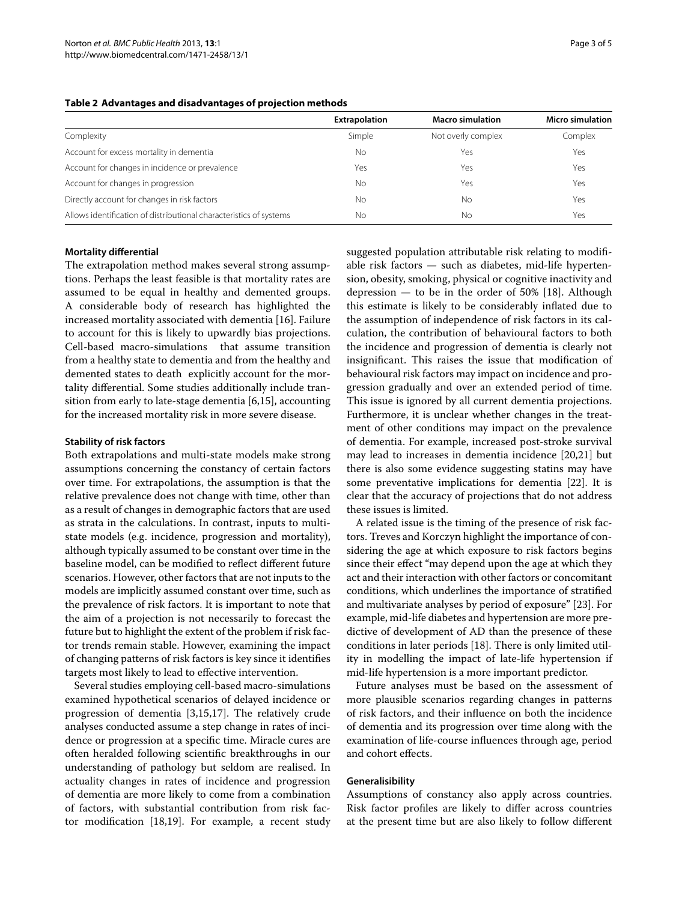#### <span id="page-2-0"></span>**Table 2 Advantages and disadvantages of projection methods**

|                                                                    | <b>Extrapolation</b> | <b>Macro simulation</b> | <b>Micro simulation</b> |
|--------------------------------------------------------------------|----------------------|-------------------------|-------------------------|
| Complexity                                                         | Simple               | Not overly complex      | Complex                 |
| Account for excess mortality in dementia                           | No                   | Yes                     | Yes                     |
| Account for changes in incidence or prevalence                     | Yes                  | Yes                     | Yes                     |
| Account for changes in progression                                 | No                   | Yes                     | Yes                     |
| Directly account for changes in risk factors                       | No                   | No                      | Yes                     |
| Allows identification of distributional characteristics of systems | No                   | Nο                      | Yes                     |

#### **Mortality differential**

The extrapolation method makes several strong assumptions. Perhaps the least feasible is that mortality rates are assumed to be equal in healthy and demented groups. A considerable body of research has highlighted the increased mortality associated with dementia [\[16\]](#page-4-13). Failure to account for this is likely to upwardly bias projections. Cell-based macro-simulations that assume transition from a healthy state to dementia and from the healthy and demented states to death explicitly account for the mortality differential. Some studies additionally include transition from early to late-stage dementia [\[6,](#page-4-5)[15\]](#page-4-12), accounting for the increased mortality risk in more severe disease.

# **Stability of risk factors**

Both extrapolations and multi-state models make strong assumptions concerning the constancy of certain factors over time. For extrapolations, the assumption is that the relative prevalence does not change with time, other than as a result of changes in demographic factors that are used as strata in the calculations. In contrast, inputs to multistate models (e.g. incidence, progression and mortality), although typically assumed to be constant over time in the baseline model, can be modified to reflect different future scenarios. However, other factors that are not inputs to the models are implicitly assumed constant over time, such as the prevalence of risk factors. It is important to note that the aim of a projection is not necessarily to forecast the future but to highlight the extent of the problem if risk factor trends remain stable. However, examining the impact of changing patterns of risk factors is key since it identifies targets most likely to lead to effective intervention.

Several studies employing cell-based macro-simulations examined hypothetical scenarios of delayed incidence or progression of dementia [\[3,](#page-4-2)[15,](#page-4-12)[17\]](#page-4-14). The relatively crude analyses conducted assume a step change in rates of incidence or progression at a specific time. Miracle cures are often heralded following scientific breakthroughs in our understanding of pathology but seldom are realised. In actuality changes in rates of incidence and progression of dementia are more likely to come from a combination of factors, with substantial contribution from risk factor modification [\[18](#page-4-15)[,19\]](#page-4-16). For example, a recent study

suggested population attributable risk relating to modifiable risk factors — such as diabetes, mid-life hypertension, obesity, smoking, physical or cognitive inactivity and depression — to be in the order of 50% [\[18\]](#page-4-15). Although this estimate is likely to be considerably inflated due to the assumption of independence of risk factors in its calculation, the contribution of behavioural factors to both the incidence and progression of dementia is clearly not insignificant. This raises the issue that modification of behavioural risk factors may impact on incidence and progression gradually and over an extended period of time. This issue is ignored by all current dementia projections. Furthermore, it is unclear whether changes in the treatment of other conditions may impact on the prevalence of dementia. For example, increased post-stroke survival may lead to increases in dementia incidence [\[20,](#page-4-17)[21\]](#page-4-18) but there is also some evidence suggesting statins may have some preventative implications for dementia [\[22\]](#page-4-19). It is clear that the accuracy of projections that do not address these issues is limited.

A related issue is the timing of the presence of risk factors. Treves and Korczyn highlight the importance of considering the age at which exposure to risk factors begins since their effect "may depend upon the age at which they act and their interaction with other factors or concomitant conditions, which underlines the importance of stratified and multivariate analyses by period of exposure" [\[23\]](#page-4-20). For example, mid-life diabetes and hypertension are more predictive of development of AD than the presence of these conditions in later periods [\[18\]](#page-4-15). There is only limited utility in modelling the impact of late-life hypertension if mid-life hypertension is a more important predictor.

Future analyses must be based on the assessment of more plausible scenarios regarding changes in patterns of risk factors, and their influence on both the incidence of dementia and its progression over time along with the examination of life-course influences through age, period and cohort effects.

## **Generalisibility**

Assumptions of constancy also apply across countries. Risk factor profiles are likely to differ across countries at the present time but are also likely to follow different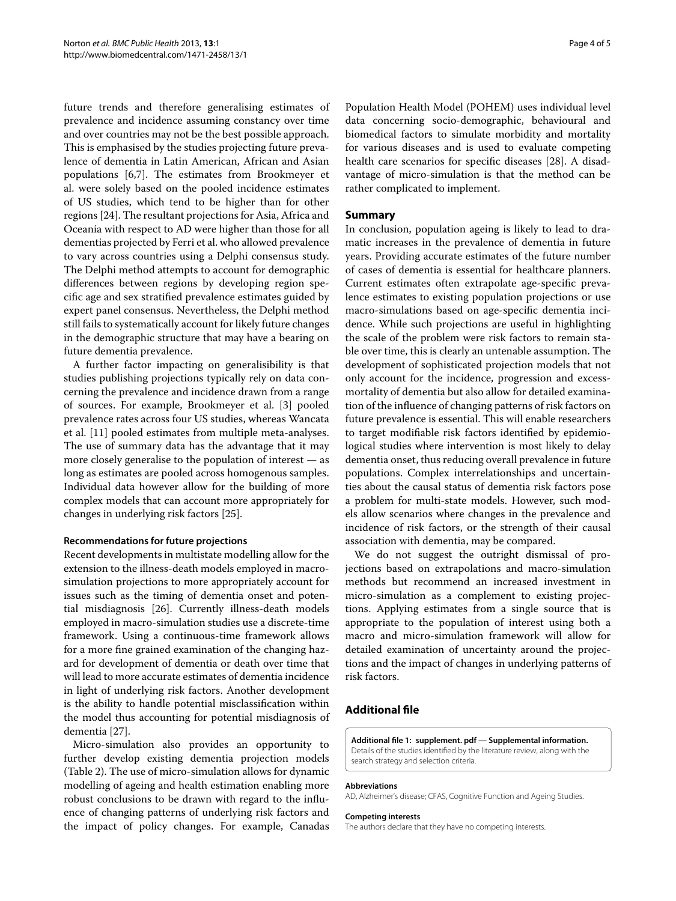future trends and therefore generalising estimates of prevalence and incidence assuming constancy over time and over countries may not be the best possible approach. This is emphasised by the studies projecting future prevalence of dementia in Latin American, African and Asian populations [\[6,](#page-4-5)[7\]](#page-4-6). The estimates from Brookmeyer et al. were solely based on the pooled incidence estimates of US studies, which tend to be higher than for other regions [\[24\]](#page-4-21). The resultant projections for Asia, Africa and Oceania with respect to AD were higher than those for all dementias projected by Ferri et al. who allowed prevalence to vary across countries using a Delphi consensus study. The Delphi method attempts to account for demographic differences between regions by developing region specific age and sex stratified prevalence estimates guided by expert panel consensus. Nevertheless, the Delphi method still fails to systematically account for likely future changes in the demographic structure that may have a bearing on future dementia prevalence.

A further factor impacting on generalisibility is that studies publishing projections typically rely on data concerning the prevalence and incidence drawn from a range of sources. For example, Brookmeyer et al. [\[3\]](#page-4-2) pooled prevalence rates across four US studies, whereas Wancata et al. [\[11\]](#page-4-9) pooled estimates from multiple meta-analyses. The use of summary data has the advantage that it may more closely generalise to the population of interest — as long as estimates are pooled across homogenous samples. Individual data however allow for the building of more complex models that can account more appropriately for changes in underlying risk factors [\[25\]](#page-4-22).

# **Recommendations for future projections**

Recent developments in multistate modelling allow for the extension to the illness-death models employed in macrosimulation projections to more appropriately account for issues such as the timing of dementia onset and potential misdiagnosis [\[26\]](#page-4-23). Currently illness-death models employed in macro-simulation studies use a discrete-time framework. Using a continuous-time framework allows for a more fine grained examination of the changing hazard for development of dementia or death over time that will lead to more accurate estimates of dementia incidence in light of underlying risk factors. Another development is the ability to handle potential misclassification within the model thus accounting for potential misdiagnosis of dementia [\[27\]](#page-4-24).

Micro-simulation also provides an opportunity to further develop existing dementia projection models (Table [2\)](#page-2-0). The use of micro-simulation allows for dynamic modelling of ageing and health estimation enabling more robust conclusions to be drawn with regard to the influence of changing patterns of underlying risk factors and the impact of policy changes. For example, Canadas

Population Health Model (POHEM) uses individual level data concerning socio-demographic, behavioural and biomedical factors to simulate morbidity and mortality for various diseases and is used to evaluate competing health care scenarios for specific diseases [\[28\]](#page-4-25). A disadvantage of micro-simulation is that the method can be rather complicated to implement.

# **Summary**

In conclusion, population ageing is likely to lead to dramatic increases in the prevalence of dementia in future years. Providing accurate estimates of the future number of cases of dementia is essential for healthcare planners. Current estimates often extrapolate age-specific prevalence estimates to existing population projections or use macro-simulations based on age-specific dementia incidence. While such projections are useful in highlighting the scale of the problem were risk factors to remain stable over time, this is clearly an untenable assumption. The development of sophisticated projection models that not only account for the incidence, progression and excessmortality of dementia but also allow for detailed examination of the influence of changing patterns of risk factors on future prevalence is essential. This will enable researchers to target modifiable risk factors identified by epidemiological studies where intervention is most likely to delay dementia onset, thus reducing overall prevalence in future populations. Complex interrelationships and uncertainties about the causal status of dementia risk factors pose a problem for multi-state models. However, such models allow scenarios where changes in the prevalence and incidence of risk factors, or the strength of their causal association with dementia, may be compared.

We do not suggest the outright dismissal of projections based on extrapolations and macro-simulation methods but recommend an increased investment in micro-simulation as a complement to existing projections. Applying estimates from a single source that is appropriate to the population of interest using both a macro and micro-simulation framework will allow for detailed examination of uncertainty around the projections and the impact of changes in underlying patterns of risk factors.

# **Additional file**

<span id="page-3-0"></span>**[Additional file 1:](http://www.biomedcentral.com/content/supplementary/1471-2458-13-1-S1.pdf) supplement. pdf — Supplemental information.** Details of the studies identified by the literature review, along with the search strategy and selection criteria.

#### **Abbreviations**

AD, Alzheimer's disease; CFAS, Cognitive Function and Ageing Studies.

#### **Competing interests**

The authors declare that they have no competing interests.